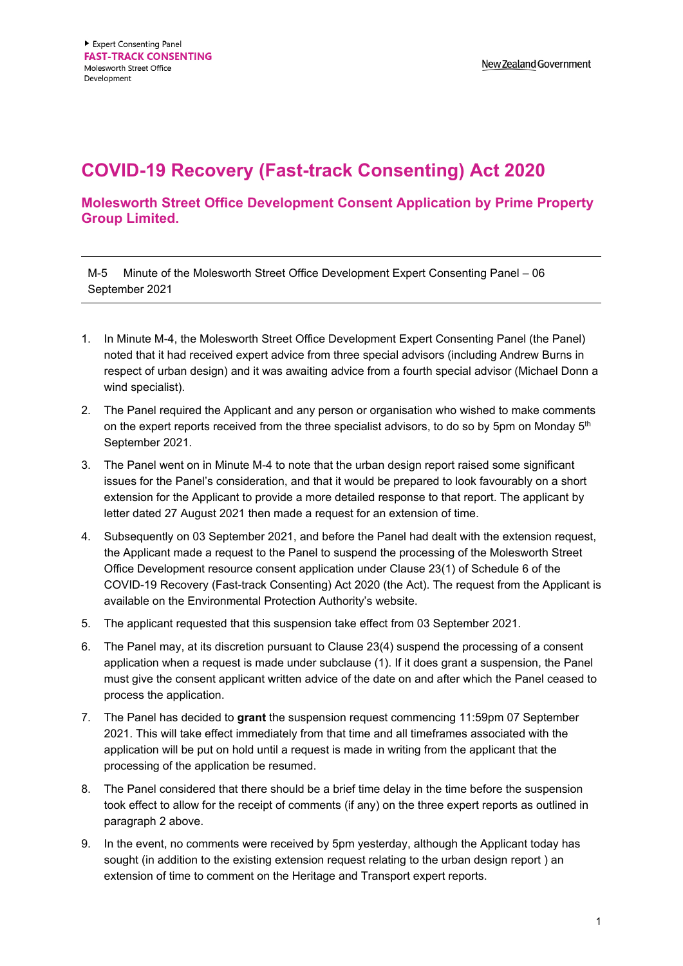## **COVID-19 Recovery (Fast-track Consenting) Act 2020**

**Molesworth Street Office Development Consent Application by Prime Property Group Limited.**

M-5 Minute of the Molesworth Street Office Development Expert Consenting Panel – 06 September 2021

- 1. In Minute M-4, the Molesworth Street Office Development Expert Consenting Panel (the Panel) noted that it had received expert advice from three special advisors (including Andrew Burns in respect of urban design) and it was awaiting advice from a fourth special advisor (Michael Donn a wind specialist).
- 2. The Panel required the Applicant and any person or organisation who wished to make comments on the expert reports received from the three specialist advisors, to do so by 5pm on Monday  $5<sup>th</sup>$ September 2021.
- 3. The Panel went on in Minute M-4 to note that the urban design report raised some significant issues for the Panel's consideration, and that it would be prepared to look favourably on a short extension for the Applicant to provide a more detailed response to that report. The applicant by letter dated 27 August 2021 then made a request for an extension of time.
- 4. Subsequently on 03 September 2021, and before the Panel had dealt with the extension request, the Applicant made a request to the Panel to suspend the processing of the Molesworth Street Office Development resource consent application under Clause 23(1) of Schedule 6 of the COVID-19 Recovery (Fast-track Consenting) Act 2020 (the Act). The request from the Applicant is available on the Environmental Protection Authority's website.
- 5. The applicant requested that this suspension take effect from 03 September 2021.
- 6. The Panel may, at its discretion pursuant to Clause 23(4) suspend the processing of a consent application when a request is made under subclause (1). If it does grant a suspension, the Panel must give the consent applicant written advice of the date on and after which the Panel ceased to process the application.
- 7. The Panel has decided to **grant** the suspension request commencing 11:59pm 07 September 2021. This will take effect immediately from that time and all timeframes associated with the application will be put on hold until a request is made in writing from the applicant that the processing of the application be resumed.
- 8. The Panel considered that there should be a brief time delay in the time before the suspension took effect to allow for the receipt of comments (if any) on the three expert reports as outlined in paragraph 2 above.
- 9. In the event, no comments were received by 5pm yesterday, although the Applicant today has sought (in addition to the existing extension request relating to the urban design report ) an extension of time to comment on the Heritage and Transport expert reports.